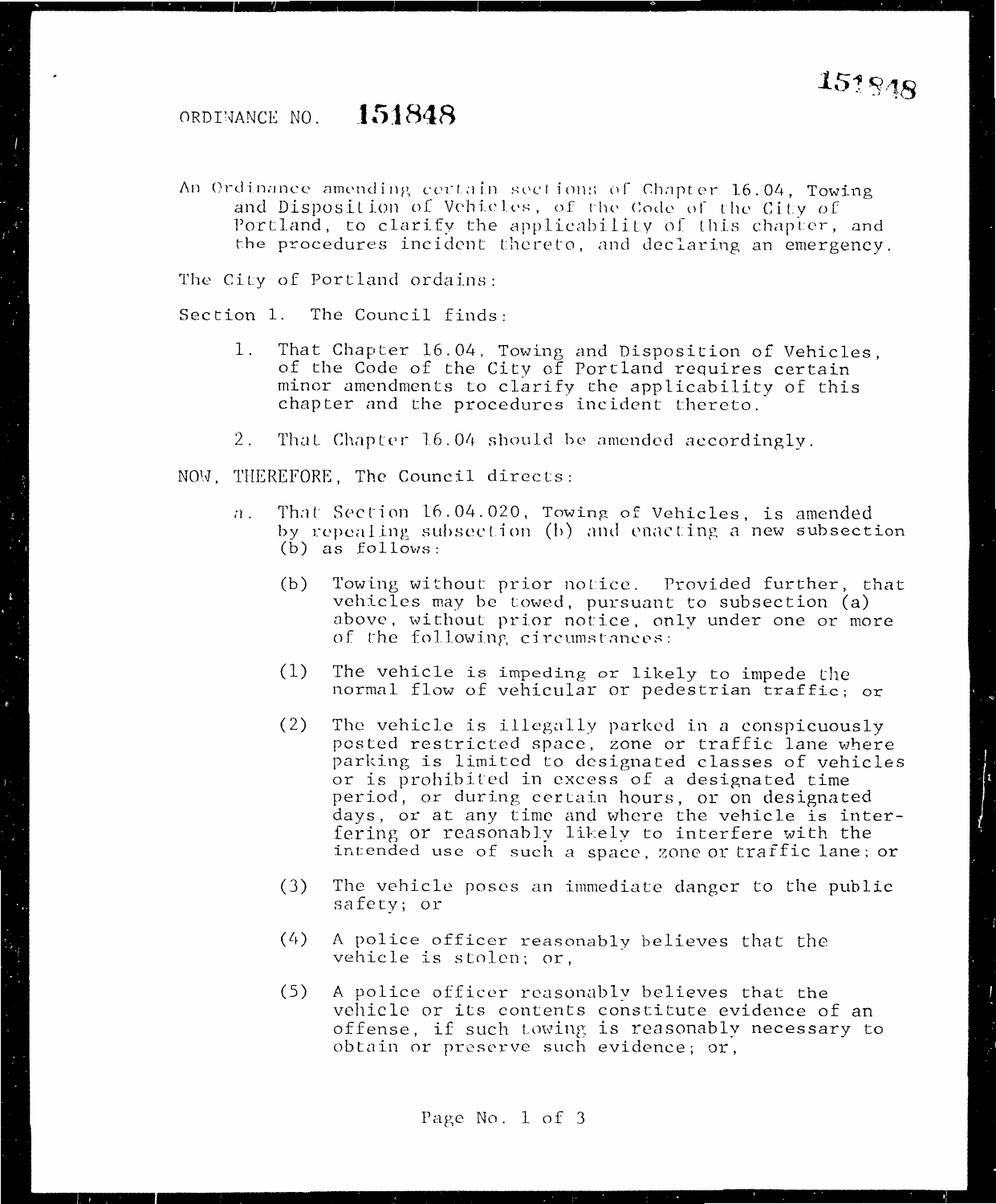#### ORDINANCE NO. **151848**

An Ordinance amending certain sections of Chapter 16.04, Towing and Disposition of Vehicles, of the Code of the City of Portland, to clarify the applicability of this chapter, and the procedures incident thereto, and declaring an emergency.

The City of Portland ordains:

Section 1. The Council finds:

- 1. That Chapter 16.04, Towing and Disposition of Vehicles, of the Code of the City of Portland requires certain minor amendments to clarify the applicability of this chapter and the procedures incident thereto.
- 2. That Chapter 16.04 should be amended accordingly.
- NOW, THEREFORE, The Council directs:
	- n. That Section 16.04.020, Towing of Vehicles, is amended by repealing subsection (b) and enacting a new subsection (b) as follows:
		- (b) Towing without prior notice. Provided further, that vehicles may be Lowed, pursuant to subsection (a) above, without prior notice, only under one or more of the following circumstances:
		- (1) The vehicle is impeding or likely to impede the normal flow of vehicular or pedestrian traffic; or
		- $(2)$  The vehicle is illegally parked in a conspicuously posted restricted space, zone or traffic lane where parking is limited to designated classes of vehicles or is prohibited in excess of a designated time period, or during certain hours, or on designated days, or at any time and where the vehicle is interfering or reasonably likely to interfere with the intended use of such a space, zone or traffic lane; or
		- (3) The vehicle poses an immediate danger to the public safety; or
		- (4) <sup>A</sup>police officer reasonably believes that the vehicle is stolen; or,
		- (5) A police officer rcasonablv believes that the vehicle or its contents constitute evidence of an offense, if such Lowing is reasonably necessary to obtain or preserve such evidence; or,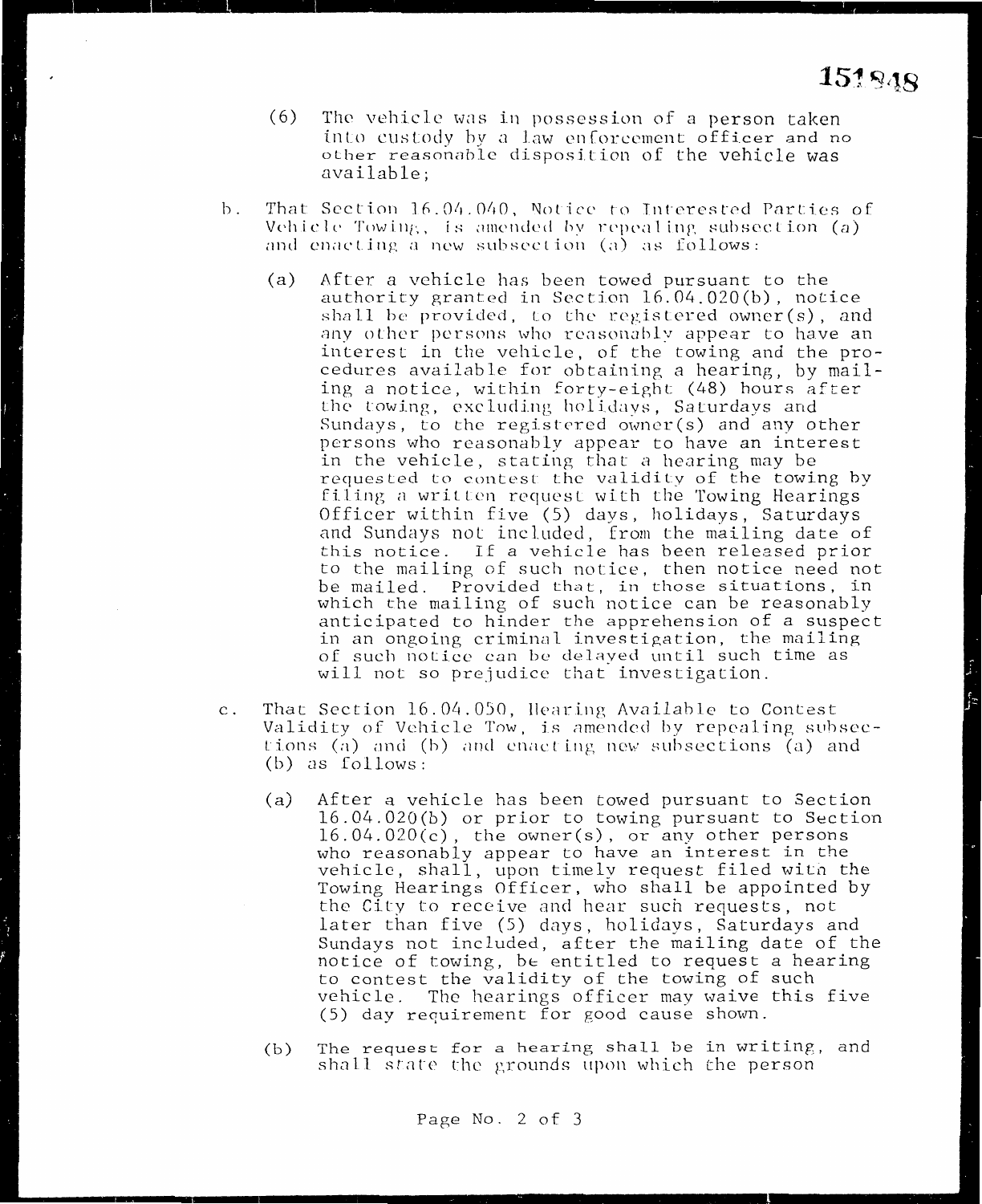- (6) The vehicle was in possession of a person taken into custody hy a law enforcement officer and no other reasonable disposition of the vehicle was available;
- b. That Section 16.04.040, Notice to Interested Parties of Vehicle Towing, is amended by repealing subsection (a) and enacting a new subsection (a) as follows:
	- (a) After a vehicle has been towed pursuant to the authority granted in Section 16.04.020(b), notice shall be provided, to the registered owner(s), and any other persons who reasonably appear to have an interest in the vehicle, of the towing and the procedures available for obtaining a hearing, by mailing a notice, within forty-eight (48) hours after the towing, excluding holidays, Saturdays and Sundays, to the registered owner(s) and any other persons who reasonably appear to have an interest in the vehicle, stating that a hearing may be requested to contest the validity of the towing by filing n written request with the Towing Hearings Officer within five (5) days, holidays, Saturdays and Sundays not included, from the mailing date of this notice. If a vehicle has been released prior to the mailing of such notice, then notice need not be mailed. Provided that, in those situations, in which the mailing of such notice can be reasonably anticipated to hinder the apprehension of a suspect in an ongoing criminal investigation, the mailing of such notice can be delayed until such time as will not so prejudice that investigation.
- c. That Section 16.04.050, Hearing Available to Contest Validity of Vehicle Tow, is amended by repealing subsections (a) and (b) and enacting new subsections (a) and (b) as follows:
	- (a) After a vehicle has been towed pursuant to Section 16.04.020(b) or prior to towing pursuant to Section 16.04.020(c), the owner(s), or any other persons who reasonably appear to have an interest in the vehicle, shall, upon timely request filed with the Towing Hearings Officer, who shall be appointed by the City to receive and hear such requests, not later than five (5) days, holidays, Saturdays and Sundays not included, after the mailing date of the notice of towing, be entitled to request a hearing to contest the validity of the towing of such vehicle. The hearings officer may waive this five (5) day requirement for good cause shown.
	- (b) The request for a hearing shall be in writing, and shall state the grounds upon which the person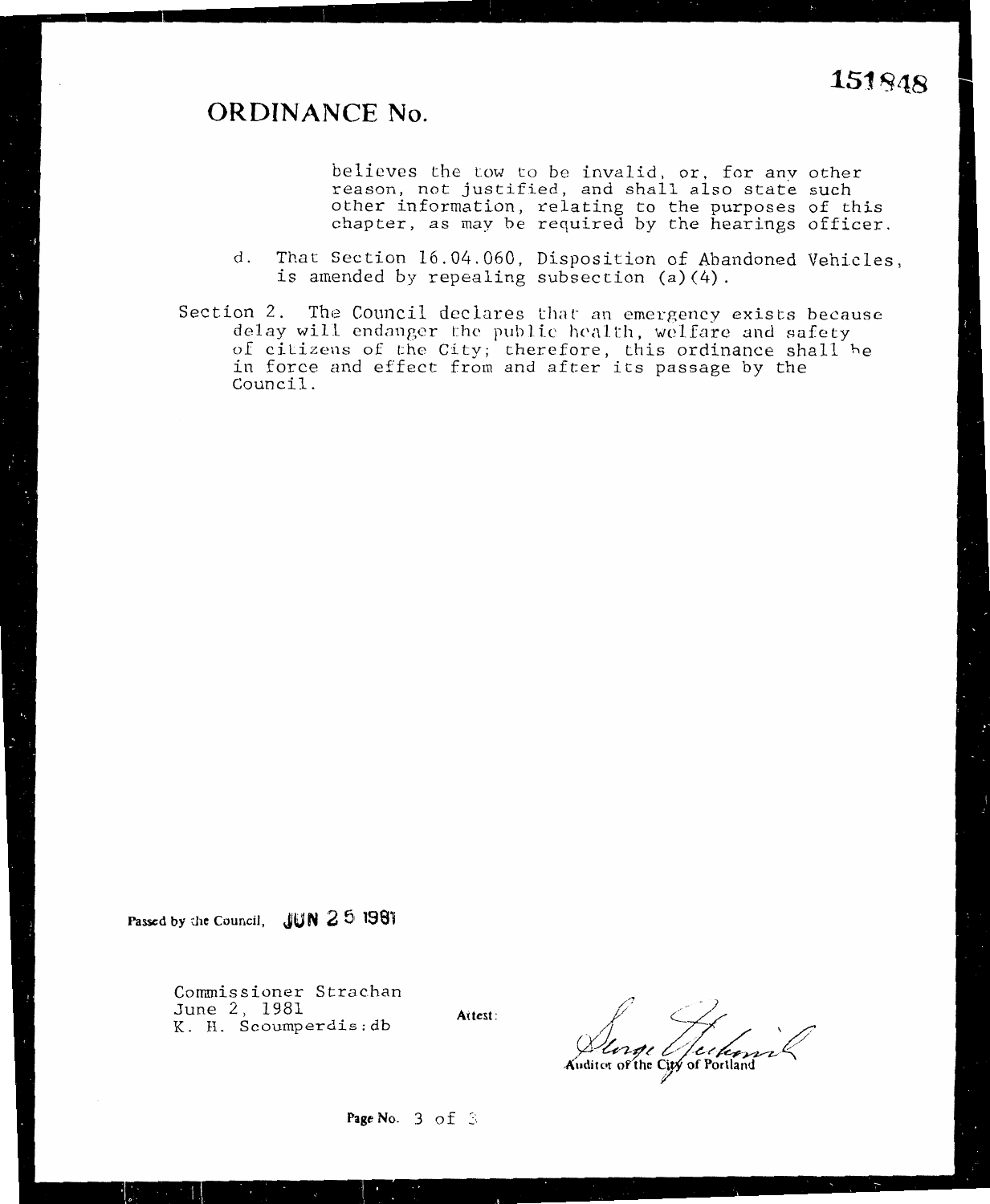#### **ORDINANCE No. 151.~48**

believes the tow to be invalid, or, for any other reason, not justified, and shall also state such er information, relating to the purposes of this oter, as may be required by the hearings officer.

- d. That Section 16.04.060, Disposition of Abandoned Vehicles.
- is amended by repealing subsection (a)(4).<br>Section 2. The Council declares that an emergency exists because delay will endanger the public health, welfare and safety of citizens of the City; therefore, this ordinance shall be in force and effect from and after its passage by the<br>Council.  $\text{ncil.}$

**Passed by d1e Council, JUN 2 51 1981** 

Commissioner Strachan<br>June 2, 1981  $\frac{1}{1}$   $\frac{1}{9}$ K. H. Scoumperdis:db **Attest:** 

Attest:

-? *) ;:£~~--~* **-A~1ditor oYthe Ci~f Portland** 

**Page 1**